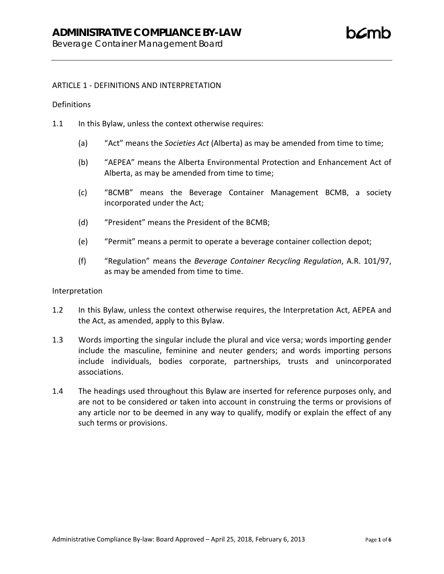# **ADMINISTRATIVE COMPLIANCE BY-LAW**

Beverage Container Management Board

# ARTICLE 1 - DEFINITIONS AND INTERPRETATION

# **Definitions**

- 1.1 In this Bylaw, unless the context otherwise requires:
	- (a) "Act" means the *Societies Act* (Alberta) as may be amended from time to time;
	- (b) "AEPEA" means the Alberta Environmental Protection and Enhancement Act of Alberta, as may be amended from time to time;
	- (c) "BCMB" means the Beverage Container Management BCMB, a society incorporated under the Act;
	- (d) "President" means the President of the BCMB;
	- (e) "Permit" means a permit to operate a beverage container collection depot;
	- (f) "Regulation" means the *Beverage Container Recycling Regulation*, A.R. 101/97, as may be amended from time to time.

#### Interpretation

- 1.2 In this Bylaw, unless the context otherwise requires, the Interpretation Act, AEPEA and the Act, as amended, apply to this Bylaw.
- 1.3 Words importing the singular include the plural and vice versa; words importing gender include the masculine, feminine and neuter genders; and words importing persons include individuals, bodies corporate, partnerships, trusts and unincorporated associations.
- 1.4 The headings used throughout this Bylaw are inserted for reference purposes only, and are not to be considered or taken into account in construing the terms or provisions of any article nor to be deemed in any way to qualify, modify or explain the effect of any such terms or provisions.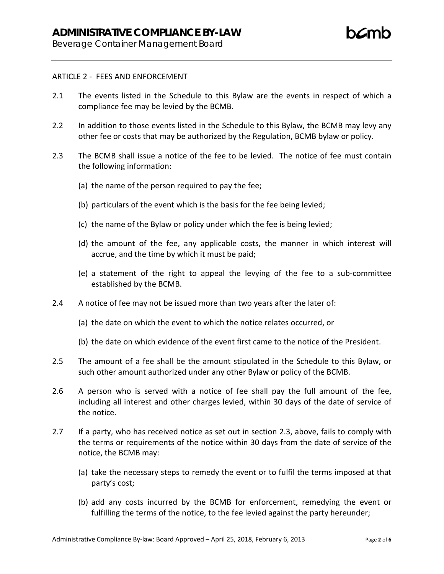Beverage Container Management Board

# ARTICLE 2 - FEES AND ENFORCEMENT

- 2.1 The events listed in the Schedule to this Bylaw are the events in respect of which a compliance fee may be levied by the BCMB.
- 2.2 In addition to those events listed in the Schedule to this Bylaw, the BCMB may levy any other fee or costs that may be authorized by the Regulation, BCMB bylaw or policy.
- 2.3 The BCMB shall issue a notice of the fee to be levied. The notice of fee must contain the following information:
	- (a) the name of the person required to pay the fee;
	- (b) particulars of the event which is the basis for the fee being levied;
	- (c) the name of the Bylaw or policy under which the fee is being levied;
	- (d) the amount of the fee, any applicable costs, the manner in which interest will accrue, and the time by which it must be paid;
	- (e) a statement of the right to appeal the levying of the fee to a sub-committee established by the BCMB.
- 2.4 A notice of fee may not be issued more than two years after the later of:
	- (a) the date on which the event to which the notice relates occurred, or
	- (b) the date on which evidence of the event first came to the notice of the President.
- 2.5 The amount of a fee shall be the amount stipulated in the Schedule to this Bylaw, or such other amount authorized under any other Bylaw or policy of the BCMB.
- 2.6 A person who is served with a notice of fee shall pay the full amount of the fee, including all interest and other charges levied, within 30 days of the date of service of the notice.
- 2.7 If a party, who has received notice as set out in section 2.3, above, fails to comply with the terms or requirements of the notice within 30 days from the date of service of the notice, the BCMB may:
	- (a) take the necessary steps to remedy the event or to fulfil the terms imposed at that party's cost;
	- (b) add any costs incurred by the BCMB for enforcement, remedying the event or fulfilling the terms of the notice, to the fee levied against the party hereunder;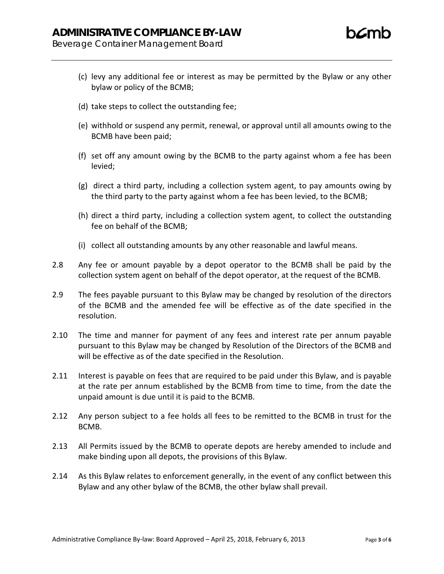- (c) levy any additional fee or interest as may be permitted by the Bylaw or any other bylaw or policy of the BCMB;
- (d) take steps to collect the outstanding fee;
- (e) withhold or suspend any permit, renewal, or approval until all amounts owing to the BCMB have been paid;
- (f) set off any amount owing by the BCMB to the party against whom a fee has been levied;
- (g) direct a third party, including a collection system agent, to pay amounts owing by the third party to the party against whom a fee has been levied, to the BCMB;
- (h) direct a third party, including a collection system agent, to collect the outstanding fee on behalf of the BCMB;
- (i) collect all outstanding amounts by any other reasonable and lawful means.
- 2.8 Any fee or amount payable by a depot operator to the BCMB shall be paid by the collection system agent on behalf of the depot operator, at the request of the BCMB.
- 2.9 The fees payable pursuant to this Bylaw may be changed by resolution of the directors of the BCMB and the amended fee will be effective as of the date specified in the resolution.
- 2.10 The time and manner for payment of any fees and interest rate per annum payable pursuant to this Bylaw may be changed by Resolution of the Directors of the BCMB and will be effective as of the date specified in the Resolution.
- 2.11 Interest is payable on fees that are required to be paid under this Bylaw, and is payable at the rate per annum established by the BCMB from time to time, from the date the unpaid amount is due until it is paid to the BCMB.
- 2.12 Any person subject to a fee holds all fees to be remitted to the BCMB in trust for the BCMB.
- 2.13 All Permits issued by the BCMB to operate depots are hereby amended to include and make binding upon all depots, the provisions of this Bylaw.
- 2.14 As this Bylaw relates to enforcement generally, in the event of any conflict between this Bylaw and any other bylaw of the BCMB, the other bylaw shall prevail.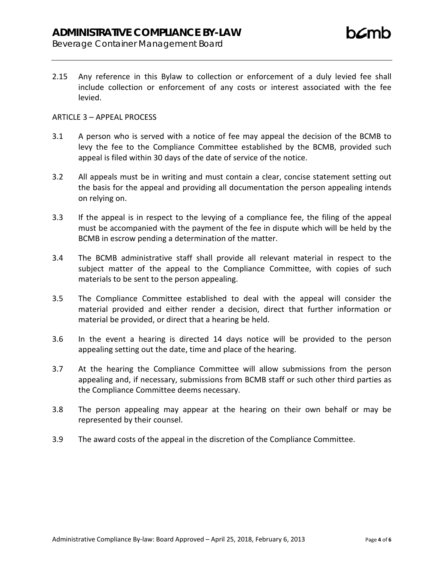Beverage Container Management Board

2.15 Any reference in this Bylaw to collection or enforcement of a duly levied fee shall include collection or enforcement of any costs or interest associated with the fee levied.

# ARTICLE 3 – APPEAL PROCESS

- 3.1 A person who is served with a notice of fee may appeal the decision of the BCMB to levy the fee to the Compliance Committee established by the BCMB, provided such appeal is filed within 30 days of the date of service of the notice.
- 3.2 All appeals must be in writing and must contain a clear, concise statement setting out the basis for the appeal and providing all documentation the person appealing intends on relying on.
- 3.3 If the appeal is in respect to the levying of a compliance fee, the filing of the appeal must be accompanied with the payment of the fee in dispute which will be held by the BCMB in escrow pending a determination of the matter.
- 3.4 The BCMB administrative staff shall provide all relevant material in respect to the subject matter of the appeal to the Compliance Committee, with copies of such materials to be sent to the person appealing.
- 3.5 The Compliance Committee established to deal with the appeal will consider the material provided and either render a decision, direct that further information or material be provided, or direct that a hearing be held.
- 3.6 In the event a hearing is directed 14 days notice will be provided to the person appealing setting out the date, time and place of the hearing.
- 3.7 At the hearing the Compliance Committee will allow submissions from the person appealing and, if necessary, submissions from BCMB staff or such other third parties as the Compliance Committee deems necessary.
- 3.8 The person appealing may appear at the hearing on their own behalf or may be represented by their counsel.
- 3.9 The award costs of the appeal in the discretion of the Compliance Committee.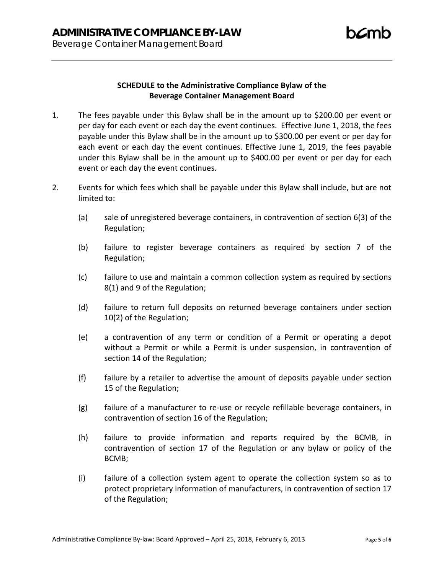# **SCHEDULE to the Administrative Compliance Bylaw of the Beverage Container Management Board**

- 1. The fees payable under this Bylaw shall be in the amount up to \$200.00 per event or per day for each event or each day the event continues. Effective June 1, 2018, the fees payable under this Bylaw shall be in the amount up to \$300.00 per event or per day for each event or each day the event continues. Effective June 1, 2019, the fees payable under this Bylaw shall be in the amount up to \$400.00 per event or per day for each event or each day the event continues.
- 2. Events for which fees which shall be payable under this Bylaw shall include, but are not limited to:
	- (a) sale of unregistered beverage containers, in contravention of section 6(3) of the Regulation;
	- (b) failure to register beverage containers as required by section 7 of the Regulation;
	- (c) failure to use and maintain a common collection system as required by sections 8(1) and 9 of the Regulation;
	- (d) failure to return full deposits on returned beverage containers under section 10(2) of the Regulation;
	- (e) a contravention of any term or condition of a Permit or operating a depot without a Permit or while a Permit is under suspension, in contravention of section 14 of the Regulation;
	- (f) failure by a retailer to advertise the amount of deposits payable under section 15 of the Regulation;
	- (g) failure of a manufacturer to re-use or recycle refillable beverage containers, in contravention of section 16 of the Regulation;
	- (h) failure to provide information and reports required by the BCMB, in contravention of section 17 of the Regulation or any bylaw or policy of the BCMB;
	- (i) failure of a collection system agent to operate the collection system so as to protect proprietary information of manufacturers, in contravention of section 17 of the Regulation;